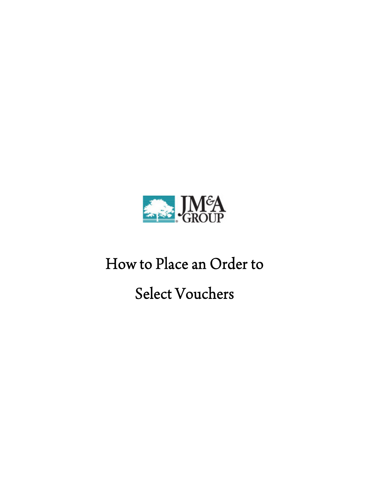

## How to Place an Order to

Select Vouchers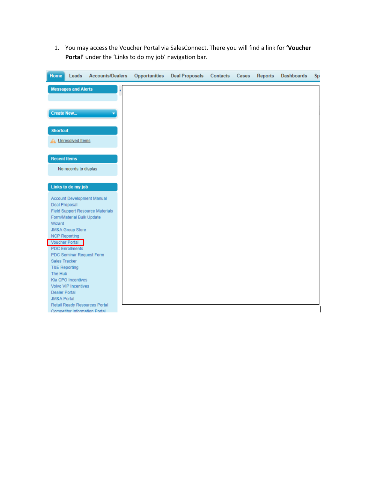1. You may access the Voucher Portal via SalesConnect. There you will find a link for **'Voucher Portal'** under the 'Links to do my job' navigation bar.

| Home                     | Leads                      | <b>Accounts/Dealers</b>                                        | <b>Opportunities</b> | <b>Deal Proposals</b> | Contacts | Cases | <b>Reports</b> | <b>Dashboards</b> | <b>Sp</b> |
|--------------------------|----------------------------|----------------------------------------------------------------|----------------------|-----------------------|----------|-------|----------------|-------------------|-----------|
|                          | <b>Messages and Alerts</b> |                                                                |                      |                       |          |       |                |                   |           |
|                          |                            |                                                                |                      |                       |          |       |                |                   |           |
|                          |                            |                                                                |                      |                       |          |       |                |                   |           |
| <b>Create New</b>        |                            |                                                                |                      |                       |          |       |                |                   |           |
|                          |                            |                                                                |                      |                       |          |       |                |                   |           |
| <b>Shortcut</b>          |                            |                                                                |                      |                       |          |       |                |                   |           |
|                          | A Unresolved Items         |                                                                |                      |                       |          |       |                |                   |           |
|                          |                            |                                                                |                      |                       |          |       |                |                   |           |
| <b>Recent Items</b>      |                            |                                                                |                      |                       |          |       |                |                   |           |
|                          | No records to display      |                                                                |                      |                       |          |       |                |                   |           |
|                          |                            |                                                                |                      |                       |          |       |                |                   |           |
|                          | Links to do my job         |                                                                |                      |                       |          |       |                |                   |           |
|                          |                            | Account Development Manual                                     |                      |                       |          |       |                |                   |           |
| <b>Deal Proposal</b>     |                            |                                                                |                      |                       |          |       |                |                   |           |
|                          |                            | <b>Field Support Resource Materials</b>                        |                      |                       |          |       |                |                   |           |
|                          | Form/Material Bulk Update  |                                                                |                      |                       |          |       |                |                   |           |
| Wizard                   |                            |                                                                |                      |                       |          |       |                |                   |           |
|                          | JM&A Group Store           |                                                                |                      |                       |          |       |                |                   |           |
| <b>NCP Reporting</b>     |                            |                                                                |                      |                       |          |       |                |                   |           |
| <b>Voucher Portal</b>    |                            |                                                                |                      |                       |          |       |                |                   |           |
|                          | <b>PDC Enrollments</b>     |                                                                |                      |                       |          |       |                |                   |           |
|                          | PDC Seminar Request Form   |                                                                |                      |                       |          |       |                |                   |           |
| Sales Tracker            |                            |                                                                |                      |                       |          |       |                |                   |           |
| <b>T&amp;E Reporting</b> |                            |                                                                |                      |                       |          |       |                |                   |           |
| The Hub                  |                            |                                                                |                      |                       |          |       |                |                   |           |
|                          | Kia CPO Incentives         |                                                                |                      |                       |          |       |                |                   |           |
|                          | Volvo VIP Incentives       |                                                                |                      |                       |          |       |                |                   |           |
| <b>Dealer Portal</b>     |                            |                                                                |                      |                       |          |       |                |                   |           |
| <b>JM&amp;A Portal</b>   |                            |                                                                |                      |                       |          |       |                |                   |           |
|                          |                            | Retail Ready Resources Portal<br>Competitor Information Portal |                      |                       |          |       |                |                   |           |
|                          |                            |                                                                |                      |                       |          |       |                |                   |           |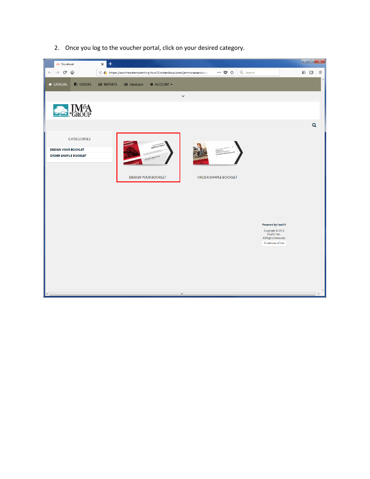2. Once you log to the voucher portal, click on your desired category.

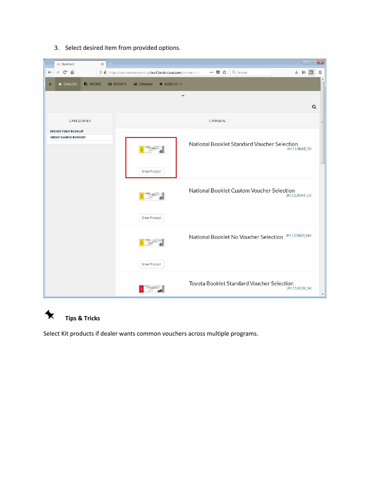

3. Select desired item from provided options.



Select Kit products if dealer wants common vouchers across multiple programs.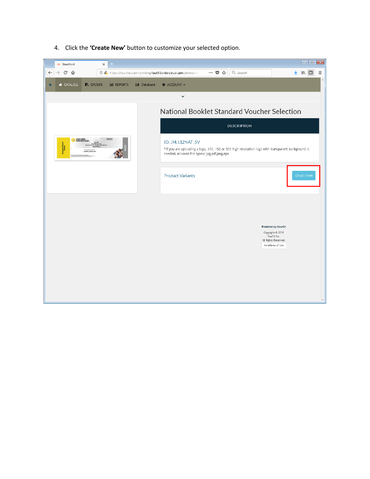

4. Click the **'Create New'** button to customize your selected option.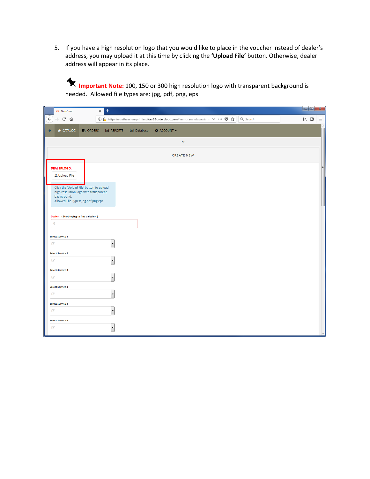5. If you have a high resolution logo that you would like to place in the voucher instead of dealer's address, you may upload it at this time by clicking the **'Upload File'** button. Otherwise, dealer address will appear in its place.

**Important Note:** 100, 150 or 300 high resolution logo with transparent background is needed. Allowed file types are: jpg, pdf, png, eps

|                      | 451 Storefront                                                       |                 | $\pm$<br>$\boldsymbol{\mathsf{x}}$ |                     |                    |                                                                                     |          | $\begin{array}{ c c c }\n\hline\n- & \n\end{array}$ $\begin{array}{ c c }\nX\n\end{array}$ |          |  |
|----------------------|----------------------------------------------------------------------|-----------------|------------------------------------|---------------------|--------------------|-------------------------------------------------------------------------------------|----------|--------------------------------------------------------------------------------------------|----------|--|
| $\leftarrow$         | $\rightarrow$ $C$ $\hat{\mathbf{u}}$                                 |                 |                                    |                     |                    | ① A https://southeasternprinting.four51ordercloud.com/jimmoranandassociates ∨ … ♥ ☆ | Q Search | $III$ $\Box$                                                                               | $\equiv$ |  |
|                      | <b>A</b> CATALOG                                                     | <b>B</b> ORDERS | <b>M</b> REPORTS                   | <b>III</b> Database | <b>C</b> ACCOUNT - |                                                                                     |          |                                                                                            |          |  |
|                      |                                                                      |                 |                                    |                     |                    | $\checkmark$                                                                        |          |                                                                                            |          |  |
|                      |                                                                      |                 |                                    |                     |                    | <b>CREATE NEW</b>                                                                   |          |                                                                                            |          |  |
|                      | <b>DEALERLOGO:</b>                                                   |                 |                                    |                     |                    |                                                                                     |          |                                                                                            |          |  |
|                      | <b>≛</b> Upload File                                                 |                 |                                    |                     |                    |                                                                                     |          |                                                                                            |          |  |
|                      | Click the 'Upload File' button to upload                             |                 |                                    |                     |                    |                                                                                     |          |                                                                                            |          |  |
|                      | high resolution logo with transparent<br>background.                 |                 |                                    |                     |                    |                                                                                     |          |                                                                                            |          |  |
|                      | Allowed File Types: jpg.pdf,png,eps                                  |                 |                                    |                     |                    |                                                                                     |          |                                                                                            |          |  |
|                      |                                                                      |                 |                                    |                     |                    |                                                                                     |          |                                                                                            |          |  |
|                      | <b>Dealer</b> (Start typing to find a dealer.)<br>$\pmb{\mathsf{Q}}$ |                 |                                    |                     |                    |                                                                                     |          |                                                                                            |          |  |
|                      |                                                                      |                 |                                    |                     |                    |                                                                                     |          |                                                                                            |          |  |
| $\mathcal{C}$        | <b>Select Service 1</b>                                              |                 | $\overline{\phantom{a}}$           |                     |                    |                                                                                     |          |                                                                                            |          |  |
|                      | <b>Select Service 2</b>                                              |                 |                                    |                     |                    |                                                                                     |          |                                                                                            |          |  |
| $\overrightarrow{a}$ |                                                                      |                 | $\blacktriangledown$               |                     |                    |                                                                                     |          |                                                                                            |          |  |
|                      | <b>Select Service 3</b>                                              |                 |                                    |                     |                    |                                                                                     |          |                                                                                            |          |  |
| $\mathcal{Q}$        |                                                                      |                 | ۰                                  |                     |                    |                                                                                     |          |                                                                                            |          |  |
|                      | <b>Select Service 4</b>                                              |                 |                                    |                     |                    |                                                                                     |          |                                                                                            |          |  |
| $\mathbb{Z}$         |                                                                      |                 | $\blacktriangledown$               |                     |                    |                                                                                     |          |                                                                                            |          |  |
|                      | <b>Select Service 5</b>                                              |                 |                                    |                     |                    |                                                                                     |          |                                                                                            |          |  |
| $\overrightarrow{G}$ |                                                                      |                 | $\blacktriangledown$               |                     |                    |                                                                                     |          |                                                                                            |          |  |
| $\mathbb{Z}$         | <b>Select Service 6</b>                                              |                 |                                    |                     |                    |                                                                                     |          |                                                                                            |          |  |
|                      |                                                                      |                 | $\blacktriangledown$               |                     |                    |                                                                                     |          |                                                                                            |          |  |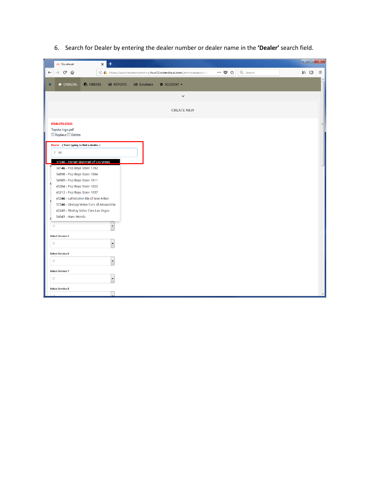| $+$<br>$\times$<br>451 Storefront                                                                                                  | lo e L<br>$\mathbf{x}$                                      |
|------------------------------------------------------------------------------------------------------------------------------------|-------------------------------------------------------------|
| $\mathbf{G}$<br>$\leftarrow$<br>$\rightarrow$<br>企<br><b>1 2</b> https://southeasternprinting.four51ordercloud.com/jimmoranandasso | … ◎ ☆<br>Q Search<br>$\mathbb{I} \setminus \mathbb{I}$<br>Ξ |
| <b>A</b> CATALOG<br><b>B</b> ORDERS<br><b>M</b> REPORTS<br><b>M</b> Database                                                       | <b># ACCOUNT -</b>                                          |
|                                                                                                                                    | $\checkmark$                                                |
|                                                                                                                                    | <b>CREATE NEW</b>                                           |
| <b>DEALERLOGO:</b>                                                                                                                 |                                                             |
| Toyota-logo.pdf<br>Replace Delete                                                                                                  |                                                             |
|                                                                                                                                    |                                                             |
| Dealer (Start typing to find a dealer.)<br>946                                                                                     |                                                             |
|                                                                                                                                    |                                                             |
| 37240 - Ferrari Maserati of Las Vegas<br>S<br>34146 - Pep Boys Store 1782                                                          |                                                             |
| 34898 - Pep Boys Store 1804                                                                                                        |                                                             |
| 34909 - Pep Boys Store 1811                                                                                                        |                                                             |
| s<br>45204 - Pep Boys Store 1822                                                                                                   |                                                             |
| 45212 - Pep Boys Store 1837                                                                                                        |                                                             |
| 45246 - LaFontaine Kia of Ann Arbor                                                                                                |                                                             |
| s<br>37246 - Lindsay Volvo Cars of Alexandria                                                                                      |                                                             |
| 45249 - Findlay Volvo Cars Las Vegas                                                                                               |                                                             |
| 34943 - Hare Honda<br>s                                                                                                            |                                                             |
|                                                                                                                                    |                                                             |
| $\overline{a}$<br>$\overline{\phantom{a}}$                                                                                         |                                                             |
| <b>Select Service 5</b>                                                                                                            |                                                             |
| $\sigma$<br>$\blacktriangledown$                                                                                                   |                                                             |
| <b>Select Service 6</b>                                                                                                            |                                                             |
| $\overline{d}$<br>$\blacktriangledown$                                                                                             |                                                             |
| <b>Select Service 7</b>                                                                                                            |                                                             |
| $\overrightarrow{d}$                                                                                                               |                                                             |
| <b>Select Service 8</b>                                                                                                            |                                                             |
|                                                                                                                                    |                                                             |

6. Search for Dealer by entering the dealer number or dealer name in the **'Dealer'** search field.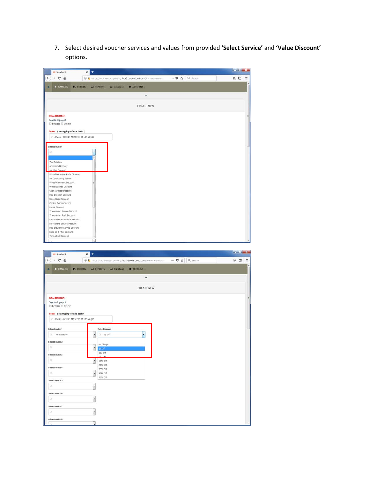7. Select desired voucher services and values from provided **'Select Service'** and **'Value Discount'** options.

| ati Storefront                                               | $\ddot{}$<br>$\times$ |                       |                                                                      |                                                    |           | $-10 - K_{\rm BH}$ |          |
|--------------------------------------------------------------|-----------------------|-----------------------|----------------------------------------------------------------------|----------------------------------------------------|-----------|--------------------|----------|
| $\leftarrow$<br>$\rightarrow$ $C$ $\Omega$                   |                       |                       | 4 P. https://southeastemprinting.fourS1orderdoud.com/jimmoranandase  | $\cdots \; \mathbf{\nabla} \; \; \mathbf{\hat{w}}$ | Q. Search | $M \Box$           | $\equiv$ |
| <b>A CATALOG</b><br><b>C</b> ORDERS<br>é                     | <b>EN REPORTS</b>     | <b>Gill</b> Database  | <b>O</b> ACCOUNT -                                                   |                                                    |           |                    |          |
|                                                              |                       |                       |                                                                      |                                                    |           |                    |          |
|                                                              |                       |                       | $\checkmark$                                                         |                                                    |           |                    |          |
|                                                              |                       |                       |                                                                      |                                                    |           |                    |          |
|                                                              |                       |                       | <b>CREATE NEW</b>                                                    |                                                    |           |                    |          |
| <b>DEALERLOGO:</b>                                           |                       |                       |                                                                      |                                                    |           |                    |          |
| Toyota-logo.pdf                                              |                       |                       |                                                                      |                                                    |           |                    |          |
| $\Box$ Replace $\Box$ Delete                                 |                       |                       |                                                                      |                                                    |           |                    |          |
| Dealer (Start typing to find a dealer.)                      |                       |                       |                                                                      |                                                    |           |                    |          |
| 9 37240 - Ferrari Maserati of Las Vegas                      |                       |                       |                                                                      |                                                    |           |                    |          |
| Select Service 1                                             |                       |                       |                                                                      |                                                    |           |                    |          |
| u                                                            | ٠                     |                       |                                                                      |                                                    |           |                    |          |
|                                                              |                       |                       |                                                                      |                                                    |           |                    |          |
| Tre Rotation                                                 |                       |                       |                                                                      |                                                    |           |                    |          |
| Accessory Discount<br>Air Filter Discount                    |                       |                       |                                                                      |                                                    |           |                    |          |
| Windshield Wiper Blade Discount                              |                       |                       |                                                                      |                                                    |           |                    |          |
| Air Conditioning Service<br>Wheel Algnment Discount          |                       |                       |                                                                      |                                                    |           |                    |          |
| Wheel Balance Discount                                       |                       |                       |                                                                      |                                                    |           |                    |          |
| Cabin Air Filter Discount<br>Fuel Injection Discount         |                       |                       |                                                                      |                                                    |           |                    |          |
| <b>Brake Flush Discount</b>                                  |                       |                       |                                                                      |                                                    |           |                    |          |
| Cooling System Service<br>Repair Discount                    |                       |                       |                                                                      |                                                    |           |                    |          |
| Transmission Service Discount                                |                       |                       |                                                                      |                                                    |           |                    |          |
| Transmission Flush Discount                                  |                       |                       |                                                                      |                                                    |           |                    |          |
| Recommended Service Discount<br>Front Brake Service Discount |                       |                       |                                                                      |                                                    |           |                    |          |
| Fuel Induction Service Discount                              |                       |                       |                                                                      |                                                    |           |                    |          |
| Lube Of & Fiter Discount<br>Timing Belt Discount             |                       |                       |                                                                      |                                                    |           |                    |          |
|                                                              |                       |                       |                                                                      |                                                    |           |                    |          |
|                                                              |                       |                       |                                                                      |                                                    |           |                    |          |
|                                                              |                       |                       |                                                                      |                                                    |           |                    |          |
| storefront                                                   | $^{+}$<br>$\times$    |                       |                                                                      |                                                    |           | $-1$ $-1$          |          |
| $C$ $\Omega$<br>$\leftarrow$<br>$\rightarrow$                |                       |                       | 10 A https://southeasternprinting.four51orderdoud.com/jimmoranandass | … 5 ☆ Q Search                                     |           | $M \Box$           | $\equiv$ |
|                                                              |                       |                       |                                                                      |                                                    |           |                    |          |
| <b>W</b> CATALOG<br><b>C</b> ORDERS<br>÷                     | <b>EN REPORTS</b>     | <b>IM Database</b>    | O ACCOUNT -                                                          |                                                    |           |                    |          |
|                                                              |                       |                       | $\checkmark$                                                         |                                                    |           |                    |          |
|                                                              |                       |                       |                                                                      |                                                    |           |                    |          |
|                                                              |                       |                       | <b>CREATE NEW</b>                                                    |                                                    |           |                    |          |
|                                                              |                       |                       |                                                                      |                                                    |           |                    |          |
| <b>DEALERLOGO:</b><br>Toyota-logo.pdf                        |                       |                       |                                                                      |                                                    |           |                    |          |
| Replace Delete                                               |                       |                       |                                                                      |                                                    |           |                    |          |
| Dealer (Start typing to find a dealer.)                      |                       |                       |                                                                      |                                                    |           |                    |          |
| 9 37240 - Ferrari Maserati of Las Vegas                      |                       |                       |                                                                      |                                                    |           |                    |          |
|                                                              |                       |                       |                                                                      |                                                    |           |                    |          |
| Select Service 1                                             |                       | <b>Value Discount</b> |                                                                      |                                                    |           |                    |          |
| Tire Rotation                                                | $\ddot{\phantom{0}}$  | F \$5 Off             | Į,                                                                   |                                                    |           |                    |          |
| Select Service 2                                             |                       | No Charge             |                                                                      |                                                    |           |                    |          |
| œ                                                            | $\cdot$<br>\$5 Off    |                       |                                                                      |                                                    |           |                    |          |
| Select Service 3                                             | \$10 Off<br>$1 - 0$   |                       |                                                                      |                                                    |           |                    |          |
| l Gr                                                         | $\cdot$<br>10% Off    |                       |                                                                      |                                                    |           |                    |          |
| Select Service 4                                             | 25% Off               | 20% Off               |                                                                      |                                                    |           |                    |          |
| œ.                                                           | $\cdot$               | 30% Off               |                                                                      |                                                    |           |                    |          |
| Select Service 5                                             |                       | 50% Off               |                                                                      |                                                    |           |                    |          |
| DC:                                                          |                       |                       |                                                                      |                                                    |           |                    |          |
| Select Service 6                                             | $\cdot$               |                       |                                                                      |                                                    |           |                    |          |
| $\alpha$                                                     |                       |                       |                                                                      |                                                    |           |                    |          |
|                                                              | $\ddot{\phantom{0}}$  |                       |                                                                      |                                                    |           |                    |          |
| Select Service 7                                             |                       |                       |                                                                      |                                                    |           |                    |          |
| ū.<br>Select Service &                                       | $\ddot{\phantom{0}}$  |                       |                                                                      |                                                    |           |                    |          |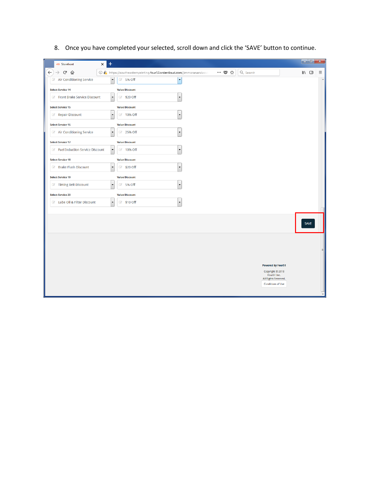| 451 Storefront                                 | $\pm$<br>$\times$        |                       |                                                                                         |                                                                |          |                                                  |                | o e . | $\mathbf{x}$ |
|------------------------------------------------|--------------------------|-----------------------|-----------------------------------------------------------------------------------------|----------------------------------------------------------------|----------|--------------------------------------------------|----------------|-------|--------------|
| $\leftarrow$<br>$C$ $\hat{w}$<br>$\rightarrow$ |                          |                       | <b>1</b> $\mathbf{h}$ https://southeasternprinting.four51ordercloud.com/jimmoranandasso | $\cdots\hspace{0.1cm} \heartsuit\hspace{0.1cm} \measuredangle$ | Q Search |                                                  | $\blacksquare$ |       | Ξ            |
| Air Conditioning Service                       | $\vert \cdot \vert$      | <b>8 5% Off</b>       | l v                                                                                     |                                                                |          |                                                  |                |       |              |
| <b>Select Service 14</b>                       |                          | <b>Value Discount</b> |                                                                                         |                                                                |          |                                                  |                |       |              |
| Front Brake Service Discount                   | $\overline{\phantom{a}}$ | <b>8</b> \$20 Off     | $\overline{\phantom{a}}$                                                                |                                                                |          |                                                  |                |       |              |
| <b>Select Service 15</b>                       |                          | <b>Value Discount</b> |                                                                                         |                                                                |          |                                                  |                |       |              |
| Repair Discount                                | $\overline{\phantom{a}}$ | <b>8</b> 10% Off      | $\overline{\phantom{a}}$                                                                |                                                                |          |                                                  |                |       |              |
| <b>Select Service 16</b>                       |                          | <b>Value Discount</b> |                                                                                         |                                                                |          |                                                  |                |       |              |
| Air Conditioning Service                       | $\overline{\phantom{a}}$ | 25% Off               |                                                                                         |                                                                |          |                                                  |                |       |              |
| <b>Select Service 17</b>                       |                          | <b>Value Discount</b> |                                                                                         |                                                                |          |                                                  |                |       |              |
| Fuel Induction Service Discount                | $\overline{\phantom{a}}$ | <b>8</b> 10% Off      | $\overline{\phantom{0}}$                                                                |                                                                |          |                                                  |                |       |              |
| <b>Select Service 18</b>                       |                          | <b>Value Discount</b> |                                                                                         |                                                                |          |                                                  |                |       |              |
| <b><i>Brake Flush Discount</i></b>             | $\overline{\phantom{0}}$ | <b>8</b> \$20 Off     | $\blacktriangledown$                                                                    |                                                                |          |                                                  |                |       |              |
| <b>Select Service 19</b>                       |                          | <b>Value Discount</b> |                                                                                         |                                                                |          |                                                  |                |       |              |
| <b>75 Timing Belt Discount</b>                 | $\overline{\phantom{a}}$ | <b>8 5% Off</b>       |                                                                                         |                                                                |          |                                                  |                |       |              |
| <b>Select Service 20</b>                       |                          | <b>Value Discount</b> |                                                                                         |                                                                |          |                                                  |                |       |              |
| Lube Oil & Filter Discount                     | $\overline{\phantom{a}}$ | <b>8</b> \$10 Off     |                                                                                         |                                                                |          |                                                  |                |       |              |
|                                                |                          |                       |                                                                                         |                                                                |          |                                                  |                |       |              |
|                                                |                          |                       |                                                                                         |                                                                |          |                                                  |                | SAVE  |              |
|                                                |                          |                       |                                                                                         |                                                                |          |                                                  |                |       |              |
|                                                |                          |                       |                                                                                         |                                                                |          |                                                  |                |       |              |
|                                                |                          |                       |                                                                                         |                                                                |          |                                                  |                |       |              |
|                                                |                          |                       |                                                                                         |                                                                |          | <b>Powered by Four51</b>                         |                |       |              |
|                                                |                          |                       |                                                                                         |                                                                |          | Copyright © 2018<br>Four51 Inc.                  |                |       |              |
|                                                |                          |                       |                                                                                         |                                                                |          | All Rights Reserved.<br><b>Conditions of Use</b> |                |       |              |
|                                                |                          |                       |                                                                                         |                                                                |          |                                                  |                |       |              |

8. Once you have completed your selected, scroll down and click the 'SAVE' button to continue.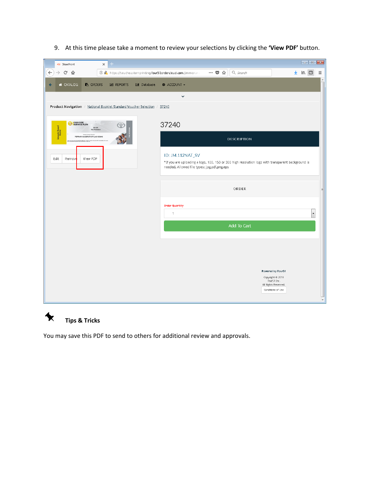

9. At this time please take a moment to review your selections by clicking the **'View PDF'** button.

**Tips & Tricks**

 $\blacklozenge$ 

You may save this PDF to send to others for additional review and approvals.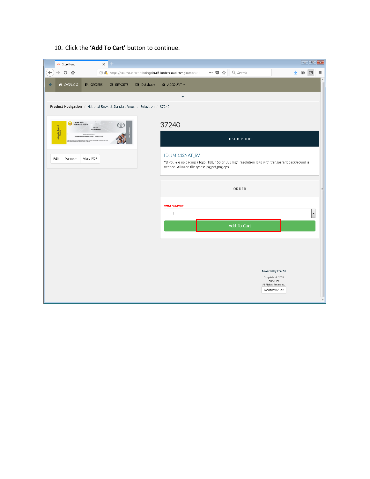

10. Click the **'Add To Cart'** button to continue.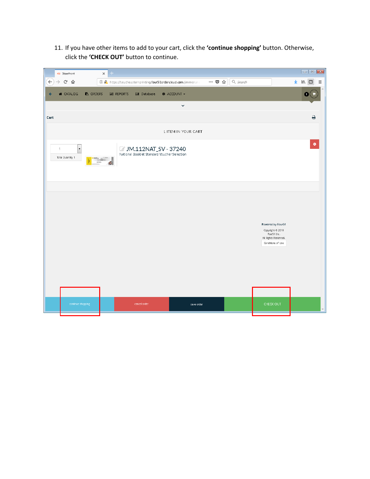11. If you have other items to add to your cart, click the **'continue shopping'** button. Otherwise, click the **'CHECK OUT'** button to continue.

|              | 451 Storefront                   |                          |                 | $\times$ | $+$              |                     |                                                                        |            |                       |   |          |                                                                                                   |   |                                                                  |   |
|--------------|----------------------------------|--------------------------|-----------------|----------|------------------|---------------------|------------------------------------------------------------------------|------------|-----------------------|---|----------|---------------------------------------------------------------------------------------------------|---|------------------------------------------------------------------|---|
| $\leftarrow$ | $\rightarrow$ $C$ $\hat{\omega}$ |                          |                 |          |                  |                     | <b>1 2</b> https://southeasternprinting.four51ordercloud.com/jimmorana |            | $\cdots \quad \nabla$ | ☆ | Q Search |                                                                                                   | 坐 | $\begin{array}{ccc} \text{III} & \text{II} & \equiv \end{array}$ |   |
| $\leftarrow$ | <b>A</b> CATALOG                 |                          | <b>B</b> ORDERS |          | <b>M</b> REPORTS | <b>III</b> Database | <b># ACCOUNT -</b>                                                     |            |                       |   |          |                                                                                                   |   |                                                                  |   |
|              |                                  |                          |                 |          |                  |                     | $\checkmark$                                                           |            |                       |   |          |                                                                                                   |   |                                                                  |   |
| Cart         |                                  |                          |                 |          |                  |                     |                                                                        |            |                       |   |          |                                                                                                   |   | $\Theta$                                                         |   |
|              |                                  |                          |                 |          |                  |                     | 1 ITEM IN YOUR CART                                                    |            |                       |   |          |                                                                                                   |   |                                                                  |   |
| $\mathbf{1}$ | Total Quantity 1                 | $\overline{\phantom{a}}$ |                 |          |                  |                     | JM.112NAT_SV - 37240<br>National Booklet Standard Voucher Selection    |            |                       |   |          |                                                                                                   |   |                                                                  | ۰ |
|              |                                  |                          |                 |          |                  |                     |                                                                        |            |                       |   |          |                                                                                                   |   |                                                                  |   |
|              |                                  |                          |                 |          |                  |                     |                                                                        |            |                       |   |          |                                                                                                   |   |                                                                  |   |
|              |                                  |                          |                 |          |                  |                     |                                                                        |            |                       |   |          | Powered by Four51<br>Copyright © 2018<br>Four51 Inc.<br>All Rights Reserved.<br>Conditions of Use |   |                                                                  |   |
|              |                                  |                          |                 |          |                  |                     |                                                                        |            |                       |   |          |                                                                                                   |   |                                                                  |   |
|              |                                  |                          |                 |          |                  |                     |                                                                        |            |                       |   |          |                                                                                                   |   |                                                                  |   |
|              |                                  | continue shopping        |                 |          |                  | cancel order        |                                                                        | save order |                       |   |          | CHECK OUT                                                                                         |   |                                                                  |   |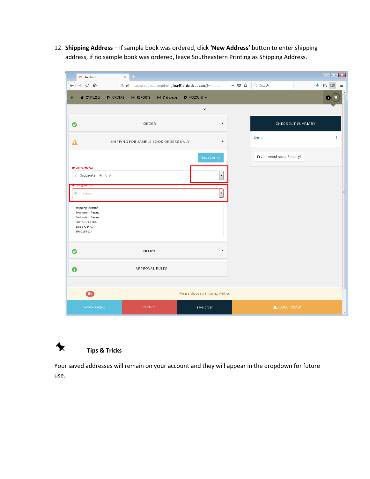12. **Shipping Address** – If sample book was ordered, click **'New Address'** button to enter shipping address, if no sample book was ordered, leave Southeastern Printing as Shipping Address.

| 451 Storefront                                                                                                            | $+$<br>$\times$                                                                    |                                             |                                               |
|---------------------------------------------------------------------------------------------------------------------------|------------------------------------------------------------------------------------|---------------------------------------------|-----------------------------------------------|
| $\leftarrow$<br>$\rightarrow$ $C$ $\hat{\omega}$                                                                          | <b>1 2</b> https://southeasternprinting.four51ordercloud.com/jimmorana             | Q Search<br>… ◎ ☆                           | 坐<br>$\qquad \qquad \blacksquare$<br>$\equiv$ |
| <b>4 CATALOG</b><br>$\leftarrow$                                                                                          | <b>B</b> ORDERS<br><b>III</b> Database<br><b># ACCOUNT -</b><br><b>III</b> REPORTS |                                             | 1                                             |
|                                                                                                                           | $\checkmark$                                                                       |                                             |                                               |
| ◔                                                                                                                         | ORDER                                                                              | CHECKOUT SUMMARY<br>$\overline{\mathbf{v}}$ |                                               |
| Α                                                                                                                         | SHIPPING FOR SAMPLE BOOK ORDERS ONLY                                               | Items<br>$\blacktriangle$                   | $\mathbf{1}$                                  |
|                                                                                                                           | New Address                                                                        | <b>O</b> Concerned About Security?          |                                               |
| <b>Shipping Address</b><br>9 Southeatern Printing                                                                         |                                                                                    |                                             |                                               |
| ulbiblivis imerular                                                                                                       |                                                                                    |                                             |                                               |
| đ.<br>Select                                                                                                              |                                                                                    | $\blacktriangledown$                        |                                               |
| Shipping Location<br>Southeatern Printing<br>Southeatern Printing<br>3601 SE Dixie Hwy<br>Stuart FL 34997<br>800-226-8221 |                                                                                    |                                             |                                               |
| Ø                                                                                                                         | <b>BILLING</b>                                                                     | $\overline{\mathbf{v}}$                     |                                               |
| $\mathbf 0$                                                                                                               | APPROVAL RULES                                                                     |                                             |                                               |
| $\bullet$                                                                                                                 | Please choose a Shipping Method                                                    |                                             |                                               |
|                                                                                                                           |                                                                                    |                                             |                                               |
| continue shopping                                                                                                         | cancel order<br>save order                                                         | A SUBMIT ORDER                              | $\overline{\phantom{a}}$                      |



Your saved addresses will remain on your account and they will appear in the dropdown for future use.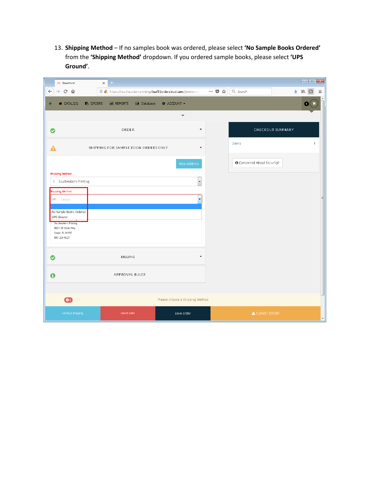13. **Shipping Method** – If no samples book was ordered, please select **'No Sample Books Ordered'** from the **'Shipping Method'** dropdown. If you ordered sample books, please select **'UPS Ground'**.

| 451 Storefront                                                               | $+$<br>$\times$                                                             |                                         |                                                                        |                                    | $\begin{array}{ c c c c c }\hline \multicolumn{1}{ c }{\textbf{}} & \multicolumn{1}{ c }{\textbf{}} & \multicolumn{1}{ c }{\textbf{}} \end{array}$ |
|------------------------------------------------------------------------------|-----------------------------------------------------------------------------|-----------------------------------------|------------------------------------------------------------------------|------------------------------------|----------------------------------------------------------------------------------------------------------------------------------------------------|
| $\leftarrow$<br>$\rightarrow$ $C$ $\hat{\omega}$                             | $\odot$ $\odot$ https://southeasternprinting.four51ordercloud.com/jimmorana |                                         | $\cdots \; \pmb{\triangledown} \; \stackrel{.}{\sim} \; \qquad \qquad$ | Q Search                           | $\qquad \qquad \blacksquare$<br>业<br>$\equiv$                                                                                                      |
| <b>A</b> CATALOG<br>$\leftarrow$                                             | <b>B</b> ORDERS<br><b>M</b> REPORTS<br><b>III</b> Database                  | <b># ACCOUNT -</b>                      |                                                                        |                                    |                                                                                                                                                    |
|                                                                              | ORDER                                                                       | $\checkmark$<br>$\overline{\mathbf{v}}$ |                                                                        |                                    | CHECKOUT SUMMARY                                                                                                                                   |
| ◎                                                                            |                                                                             |                                         |                                                                        |                                    |                                                                                                                                                    |
| Δ                                                                            | SHIPPING FOR SAMPLE BOOK ORDERS ONLY                                        | $\blacktriangle$                        |                                                                        | Items                              | $\overline{1}$                                                                                                                                     |
|                                                                              |                                                                             | New Address                             |                                                                        | <b>O</b> Concerned About Security? |                                                                                                                                                    |
| <b>Shipping Address</b>                                                      |                                                                             |                                         |                                                                        |                                    |                                                                                                                                                    |
| 9 Southeatern Printing                                                       |                                                                             | $\overline{\phantom{a}}$                |                                                                        |                                    |                                                                                                                                                    |
| <b>Shipping Method</b>                                                       |                                                                             |                                         |                                                                        |                                    |                                                                                                                                                    |
| du select                                                                    |                                                                             |                                         |                                                                        |                                    |                                                                                                                                                    |
| No Sample Books Ordered<br>UPS Ground                                        |                                                                             |                                         |                                                                        |                                    |                                                                                                                                                    |
| Southeatern Printing<br>3601 SE Dixie Hwy<br>Stuart FL 34997<br>800-226-8221 |                                                                             |                                         |                                                                        |                                    |                                                                                                                                                    |
|                                                                              |                                                                             |                                         |                                                                        |                                    |                                                                                                                                                    |
| Ø                                                                            | BILLING                                                                     | $\overline{\mathbf{v}}$                 |                                                                        |                                    |                                                                                                                                                    |
| $\mathbf 0$                                                                  | APPROVAL RULES                                                              |                                         |                                                                        |                                    |                                                                                                                                                    |
|                                                                              |                                                                             |                                         |                                                                        |                                    |                                                                                                                                                    |
| $\bullet$                                                                    |                                                                             | Please choose a Shipping Method         |                                                                        |                                    |                                                                                                                                                    |
| continue shopping                                                            | cancel order                                                                | save order                              |                                                                        | A SUBMIT ORDER                     |                                                                                                                                                    |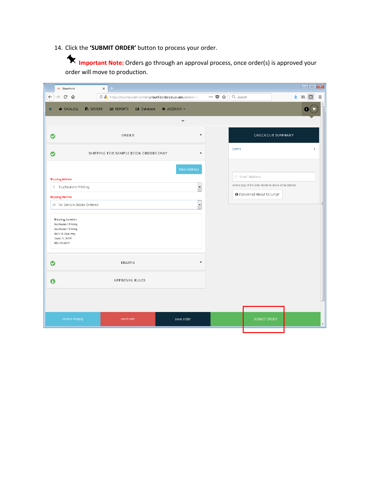14. Click the **'SUBMIT ORDER'** button to process your order.

**Important Note:** Orders go through an approval process, once order(s) is approved your order will move to production.

| 451 Storefront                                                                                                            | $+$<br>$\times$                                                        |                                    |       |                                                          |                          |
|---------------------------------------------------------------------------------------------------------------------------|------------------------------------------------------------------------|------------------------------------|-------|----------------------------------------------------------|--------------------------|
| $\leftarrow$<br>$\rightarrow$ $C$ $\hat{\omega}$                                                                          | <b>1 2</b> https://southeasternprinting.four51ordercloud.com/jimmorana |                                    | … ◎ ☆ | Q Search                                                 | 业<br>$\equiv$            |
| <b>A</b> CATALOG<br><b>B</b> ORDERS                                                                                       | <b>III</b> REPORTS<br><b>III</b> Database                              | <b># ACCOUNT -</b><br>$\checkmark$ |       |                                                          |                          |
| Ø                                                                                                                         | ORDER                                                                  | $\overline{\mathbf{v}}$            |       |                                                          | CHECKOUT SUMMARY         |
| ◎                                                                                                                         | SHIPPING FOR SAMPLE BOOK ORDERS ONLY                                   | $\blacktriangle$                   |       | Items                                                    | $\mathbf{1}$             |
| <b>Shipping Address</b>                                                                                                   |                                                                        | New Address                        |       | $\boxdot$ Email Address                                  |                          |
| 9 Southeatern Printing                                                                                                    |                                                                        | $\overline{\phantom{a}}$           |       | Send a copy of the order details to above email address. |                          |
| <b>Shipping Method</b>                                                                                                    |                                                                        |                                    |       | <b>O</b> Concerned About Security?                       |                          |
| No Sample Books Ordered                                                                                                   |                                                                        | $\cdot$                            |       |                                                          | $\equiv$                 |
| Shipping Location<br>Southeatern Printing<br>Southeatern Printing<br>3601 SE Dixie Hwy<br>Stuart FL 34997<br>800-226-8221 |                                                                        |                                    |       |                                                          |                          |
| Ø                                                                                                                         | <b>BILLING</b>                                                         | $\overline{\mathbf{v}}$            |       |                                                          |                          |
| $\bullet$                                                                                                                 | APPROVAL RULES                                                         |                                    |       |                                                          |                          |
|                                                                                                                           |                                                                        |                                    |       |                                                          |                          |
| continue shopping                                                                                                         | cancel order                                                           | save order                         |       | SUBMIT ORDER                                             | $\overline{\phantom{a}}$ |